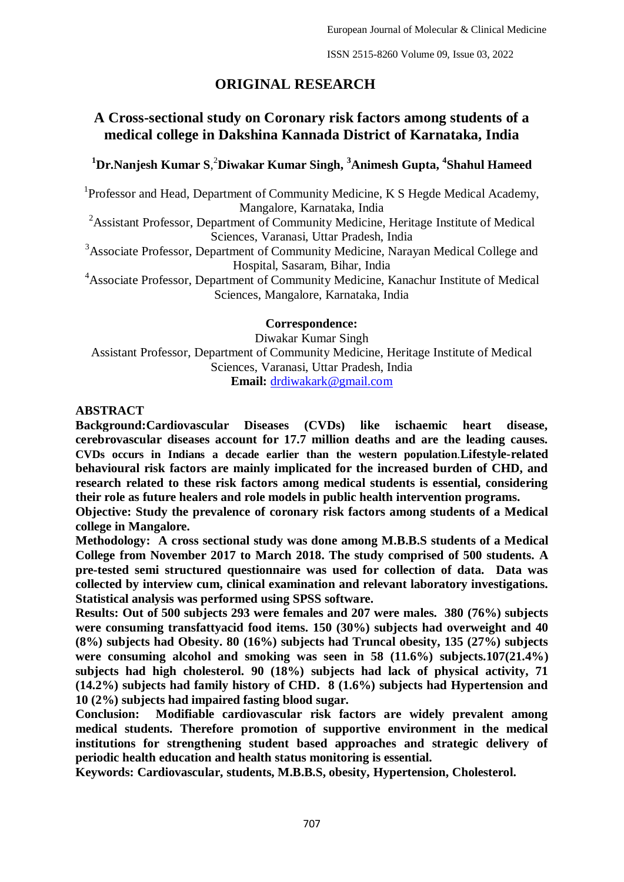# **ORIGINAL RESEARCH**

# **A Cross-sectional study on Coronary risk factors among students of a medical college in Dakshina Kannada District of Karnataka, India**

# **<sup>1</sup>Dr.Nanjesh Kumar S**, <sup>2</sup>**Diwakar Kumar Singh, <sup>3</sup>Animesh Gupta, <sup>4</sup> Shahul Hameed**

<sup>1</sup>Professor and Head, Department of Community Medicine, K S Hegde Medical Academy, Mangalore, Karnataka, India

<sup>2</sup>Assistant Professor, Department of Community Medicine, Heritage Institute of Medical Sciences, Varanasi, Uttar Pradesh, India

<sup>3</sup>Associate Professor, Department of Community Medicine, Narayan Medical College and Hospital, Sasaram, Bihar, India

<sup>4</sup>Associate Professor, Department of Community Medicine, Kanachur Institute of Medical Sciences, Mangalore, Karnataka, India

**Correspondence:**

Diwakar Kumar Singh Assistant Professor, Department of Community Medicine, Heritage Institute of Medical Sciences, Varanasi, Uttar Pradesh, India **Email:** [drdiwakark@gmail.com](mailto:drdiwakark@gmail.com)

#### **ABSTRACT**

**Background:Cardiovascular Diseases (CVDs) like ischaemic heart disease, cerebrovascular diseases account for 17.7 million deaths and are the leading causes. CVDs occurs in Indians a decade earlier than the western population**.**Lifestyle-related behavioural risk factors are mainly implicated for the increased burden of CHD, and research related to these risk factors among medical students is essential, considering their role as future healers and role models in public health intervention programs.**

**Objective: Study the prevalence of coronary risk factors among students of a Medical college in Mangalore.**

**Methodology: A cross sectional study was done among M.B.B.S students of a Medical College from November 2017 to March 2018. The study comprised of 500 students. A pre-tested semi structured questionnaire was used for collection of data. Data was collected by interview cum, clinical examination and relevant laboratory investigations. Statistical analysis was performed using SPSS software.** 

**Results: Out of 500 subjects 293 were females and 207 were males. 380 (76%) subjects were consuming transfattyacid food items. 150 (30%) subjects had overweight and 40 (8%) subjects had Obesity. 80 (16%) subjects had Truncal obesity, 135 (27%) subjects were consuming alcohol and smoking was seen in 58 (11.6%) subjects.107(21.4%) subjects had high cholesterol. 90 (18%) subjects had lack of physical activity, 71 (14.2%) subjects had family history of CHD. 8 (1.6%) subjects had Hypertension and 10 (2%) subjects had impaired fasting blood sugar.** 

**Conclusion: Modifiable cardiovascular risk factors are widely prevalent among medical students. Therefore promotion of supportive environment in the medical institutions for strengthening student based approaches and strategic delivery of periodic health education and health status monitoring is essential.**

**Keywords: Cardiovascular, students, M.B.B.S, obesity, Hypertension, Cholesterol.**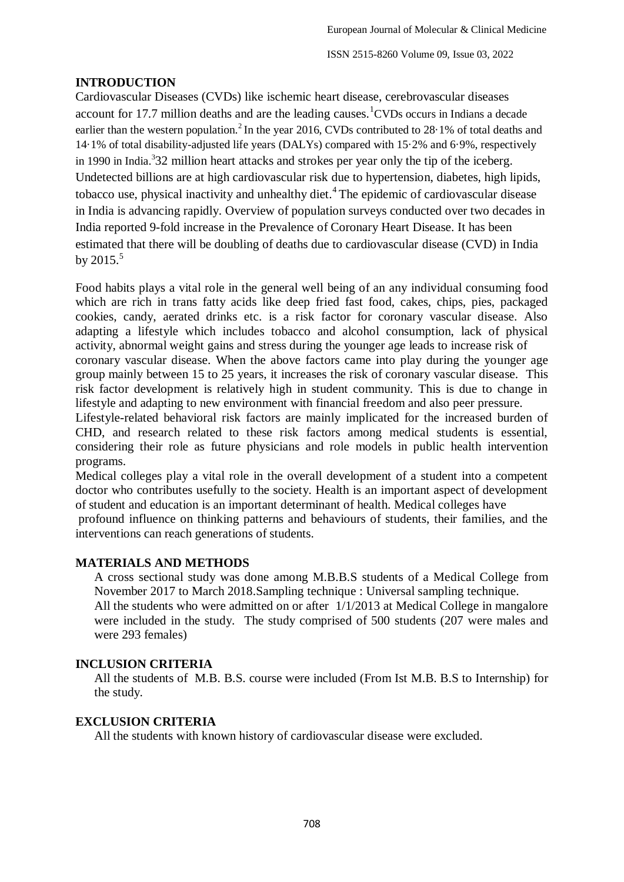# **INTRODUCTION**

Cardiovascular Diseases (CVDs) like ischemic heart disease, cerebrovascular diseases account for 17.7 million deaths and are the leading causes.<sup>1</sup>CVDs occurs in Indians a decade earlier than the western population.<sup>2</sup> In the year 2016, CVDs contributed to 28.1% of total deaths and 14·1% of total disability-adjusted life years (DALYs) compared with 15·2% and 6·9%, respectively in 1990 in India.<sup>3</sup>32 million heart attacks and strokes per year only the tip of the iceberg. Undetected billions are at high cardiovascular risk due to hypertension, diabetes, high lipids, tobacco use, physical inactivity and unhealthy diet.<sup>4</sup> The epidemic of cardiovascular disease in India is advancing rapidly. Overview of population surveys conducted over two decades in India reported 9-fold increase in the Prevalence of Coronary Heart Disease. It has been estimated that there will be doubling of deaths due to cardiovascular disease (CVD) in India by  $2015.<sup>5</sup>$ 

Food habits plays a vital role in the general well being of an any individual consuming food which are rich in trans fatty acids like deep fried fast food, cakes, chips, pies, packaged cookies, candy, aerated drinks etc. is a risk factor for coronary vascular disease. Also adapting a lifestyle which includes tobacco and alcohol consumption, lack of physical activity, abnormal weight gains and stress during the younger age leads to increase risk of coronary vascular disease. When the above factors came into play during the younger age group mainly between 15 to 25 years, it increases the risk of coronary vascular disease. This risk factor development is relatively high in student community. This is due to change in lifestyle and adapting to new environment with financial freedom and also peer pressure. Lifestyle-related behavioral risk factors are mainly implicated for the increased burden of

CHD, and research related to these risk factors among medical students is essential, considering their role as future physicians and role models in public health intervention programs.

Medical colleges play a vital role in the overall development of a student into a competent doctor who contributes usefully to the society. Health is an important aspect of development of student and education is an important determinant of health. Medical colleges have

profound influence on thinking patterns and behaviours of students, their families, and the interventions can reach generations of students.

# **MATERIALS AND METHODS**

A cross sectional study was done among M.B.B.S students of a Medical College from November 2017 to March 2018.Sampling technique : Universal sampling technique.

All the students who were admitted on or after 1/1/2013 at Medical College in mangalore were included in the study. The study comprised of 500 students (207 were males and were 293 females)

# **INCLUSION CRITERIA**

All the students of M.B. B.S. course were included (From Ist M.B. B.S to Internship) for the study.

## **EXCLUSION CRITERIA**

All the students with known history of cardiovascular disease were excluded.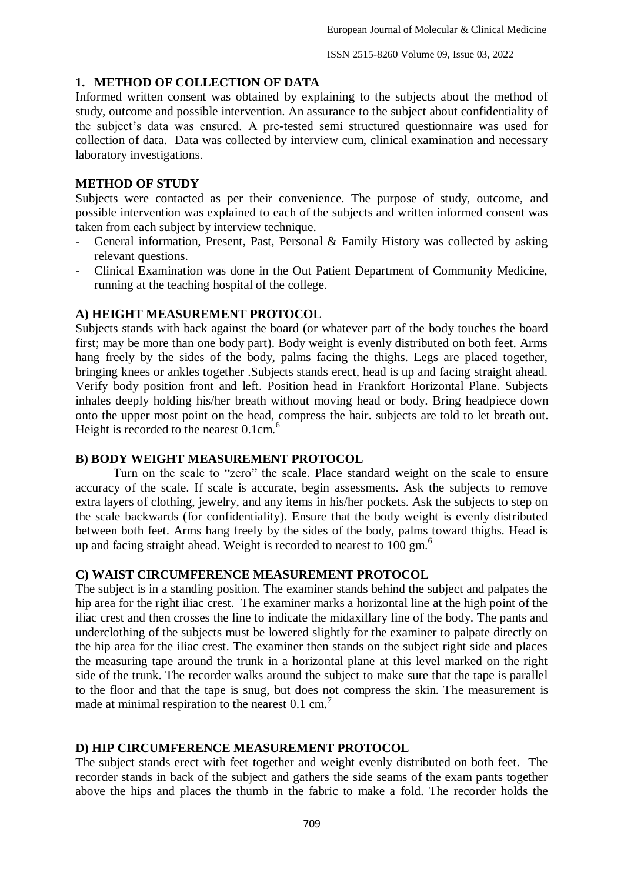## **1. METHOD OF COLLECTION OF DATA**

Informed written consent was obtained by explaining to the subjects about the method of study, outcome and possible intervention. An assurance to the subject about confidentiality of the subject's data was ensured. A pre-tested semi structured questionnaire was used for collection of data. Data was collected by interview cum, clinical examination and necessary laboratory investigations.

## **METHOD OF STUDY**

Subjects were contacted as per their convenience. The purpose of study, outcome, and possible intervention was explained to each of the subjects and written informed consent was taken from each subject by interview technique.

- General information, Present, Past, Personal & Family History was collected by asking relevant questions.
- Clinical Examination was done in the Out Patient Department of Community Medicine, running at the teaching hospital of the college.

## **A) HEIGHT MEASUREMENT PROTOCOL**

Subjects stands with back against the board (or whatever part of the body touches the board first; may be more than one body part). Body weight is evenly distributed on both feet. Arms hang freely by the sides of the body, palms facing the thighs. Legs are placed together, bringing knees or ankles together .Subjects stands erect, head is up and facing straight ahead. Verify body position front and left. Position head in Frankfort Horizontal Plane. Subjects inhales deeply holding his/her breath without moving head or body. Bring headpiece down onto the upper most point on the head, compress the hair. subjects are told to let breath out. Height is recorded to the nearest  $0.1 \text{cm}^6$ .

## **B) BODY WEIGHT MEASUREMENT PROTOCOL**

Turn on the scale to "zero" the scale. Place standard weight on the scale to ensure accuracy of the scale. If scale is accurate, begin assessments. Ask the subjects to remove extra layers of clothing, jewelry, and any items in his/her pockets. Ask the subjects to step on the scale backwards (for confidentiality). Ensure that the body weight is evenly distributed between both feet. Arms hang freely by the sides of the body, palms toward thighs. Head is up and facing straight ahead. Weight is recorded to nearest to 100 gm.<sup>6</sup>

## **C) WAIST CIRCUMFERENCE MEASUREMENT PROTOCOL**

The subject is in a standing position. The examiner stands behind the subject and palpates the hip area for the right iliac crest. The examiner marks a horizontal line at the high point of the iliac crest and then crosses the line to indicate the midaxillary line of the body. The pants and underclothing of the subjects must be lowered slightly for the examiner to palpate directly on the hip area for the iliac crest. The examiner then stands on the subject right side and places the measuring tape around the trunk in a horizontal plane at this level marked on the right side of the trunk. The recorder walks around the subject to make sure that the tape is parallel to the floor and that the tape is snug, but does not compress the skin. The measurement is made at minimal respiration to the nearest  $0.1 \text{ cm}^7$ 

# **D) HIP CIRCUMFERENCE MEASUREMENT PROTOCOL**

The subject stands erect with feet together and weight evenly distributed on both feet. The recorder stands in back of the subject and gathers the side seams of the exam pants together above the hips and places the thumb in the fabric to make a fold. The recorder holds the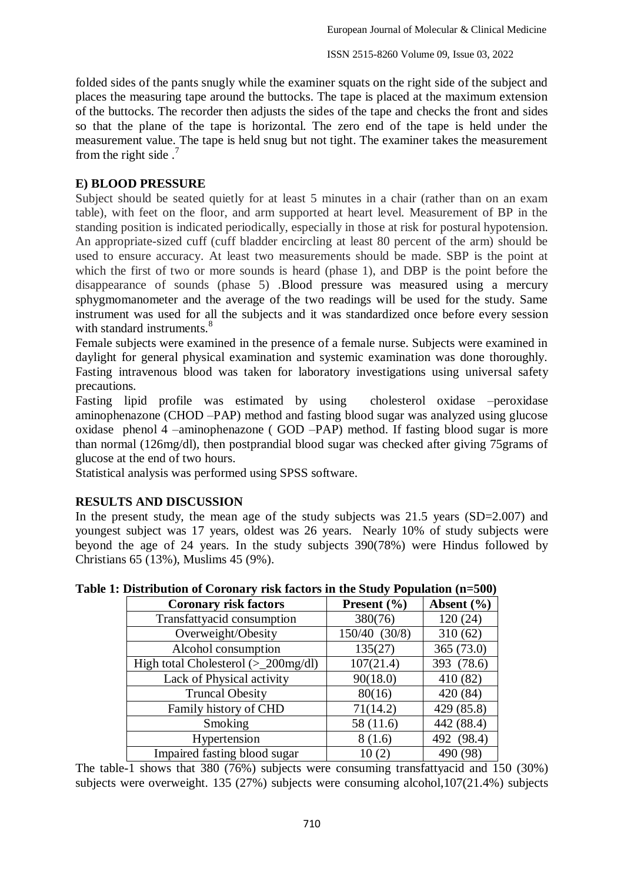folded sides of the pants snugly while the examiner squats on the right side of the subject and places the measuring tape around the buttocks. The tape is placed at the maximum extension of the buttocks. The recorder then adjusts the sides of the tape and checks the front and sides so that the plane of the tape is horizontal. The zero end of the tape is held under the measurement value. The tape is held snug but not tight. The examiner takes the measurement from the right side  $<sup>7</sup>$ </sup>

## **E) BLOOD PRESSURE**

Subject should be seated quietly for at least 5 minutes in a chair (rather than on an exam table), with feet on the floor, and arm supported at heart level. Measurement of BP in the standing position is indicated periodically, especially in those at risk for postural hypotension. An appropriate-sized cuff (cuff bladder encircling at least 80 percent of the arm) should be used to ensure accuracy. At least two measurements should be made. SBP is the point at which the first of two or more sounds is heard (phase 1), and DBP is the point before the disappearance of sounds (phase 5) .Blood pressure was measured using a mercury sphygmomanometer and the average of the two readings will be used for the study. Same instrument was used for all the subjects and it was standardized once before every session with standard instruments.<sup>8</sup>

Female subjects were examined in the presence of a female nurse. Subjects were examined in daylight for general physical examination and systemic examination was done thoroughly. Fasting intravenous blood was taken for laboratory investigations using universal safety precautions.

Fasting lipid profile was estimated by using cholesterol oxidase –peroxidase aminophenazone (CHOD –PAP) method and fasting blood sugar was analyzed using glucose oxidase phenol 4 –aminophenazone ( GOD –PAP) method. If fasting blood sugar is more than normal (126mg/dl), then postprandial blood sugar was checked after giving 75grams of glucose at the end of two hours.

Statistical analysis was performed using SPSS software.

# **RESULTS AND DISCUSSION**

In the present study, the mean age of the study subjects was 21.5 years (SD=2.007) and youngest subject was 17 years, oldest was 26 years. Nearly 10% of study subjects were beyond the age of 24 years. In the study subjects 390(78%) were Hindus followed by Christians 65 (13%), Muslims 45 (9%).

| <b>Coronary risk factors</b>          | <b>Present</b> $(\% )$ | Absent $(\% )$ |
|---------------------------------------|------------------------|----------------|
| Transfattyacid consumption            | 380(76)                | 120(24)        |
| Overweight/Obesity                    | 150/40 (30/8)          | 310(62)        |
| Alcohol consumption                   | 135(27)                | 365 (73.0)     |
| High total Cholesterol $(>200$ mg/dl) | 107(21.4)              | 393 (78.6)     |
| Lack of Physical activity             | 90(18.0)               | 410 (82)       |
| <b>Truncal Obesity</b>                | 80(16)                 | 420 (84)       |
| Family history of CHD                 | 71(14.2)               | 429 (85.8)     |
| Smoking                               | 58 (11.6)              | 442 (88.4)     |
| Hypertension                          | 8(1.6)                 | 492 (98.4)     |
| Impaired fasting blood sugar          | 10(2)                  | 490 (98)       |

**Table 1: Distribution of Coronary risk factors in the Study Population (n=500)**

The table-1 shows that 380 (76%) subjects were consuming transfattyacid and 150 (30%) subjects were overweight. 135 (27%) subjects were consuming alcohol,107(21.4%) subjects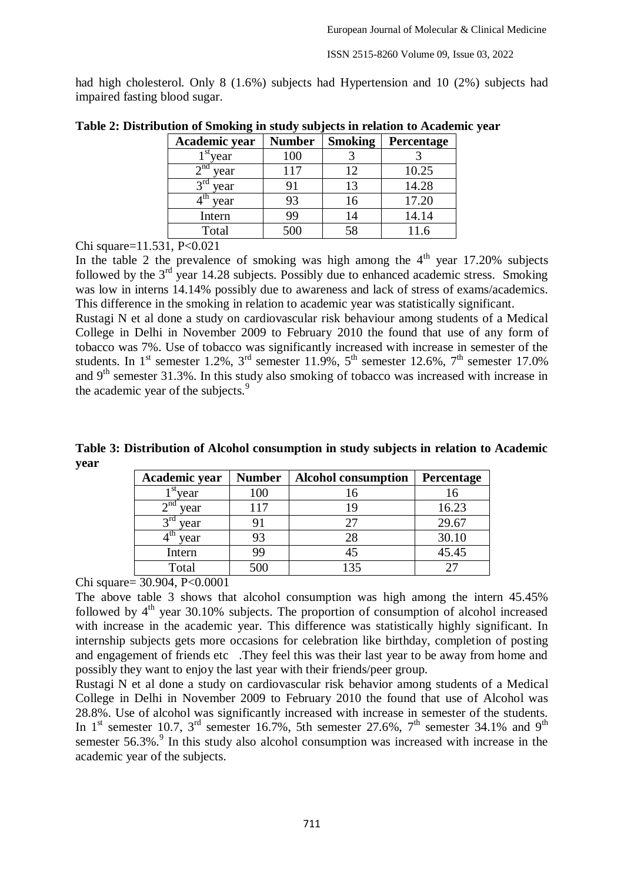ISSN 2515-8260 Volume 09, Issue 03, 2022

had high cholesterol. Only 8 (1.6%) subjects had Hypertension and 10 (2%) subjects had impaired fasting blood sugar.

| Academic year       | <b>Number</b> | <b>Smoking</b> | Percentage |
|---------------------|---------------|----------------|------------|
| year                | 100           |                |            |
| $\gamma$ na<br>year | 117           | 12             | 10.25      |
| year                |               | 13             | 14.28      |
| τn<br>year          | 93            | 16             | 17.20      |
| Intern              | 99            | 14             | 14.14      |
| Total               | 500           | 58             |            |

**Table 2: Distribution of Smoking in study subjects in relation to Academic year**

Chi square=11.531, P<0.021

In the table 2 the prevalence of smoking was high among the  $4<sup>th</sup>$  year 17.20% subjects followed by the  $3<sup>rd</sup>$  year 14.28 subjects. Possibly due to enhanced academic stress. Smoking was low in interns 14.14% possibly due to awareness and lack of stress of exams/academics. This difference in the smoking in relation to academic year was statistically significant.

Rustagi N et al done a study on cardiovascular risk behaviour among students of a Medical College in Delhi in November 2009 to February 2010 the found that use of any form of tobacco was 7%. Use of tobacco was significantly increased with increase in semester of the students. In 1<sup>st</sup> semester 1.2%, 3<sup>rd</sup> semester 11.9%, 5<sup>th</sup> semester 12.6%, 7<sup>th</sup> semester 17.0% and  $9<sup>th</sup>$  semester 31.3%. In this study also smoking of tobacco was increased with increase in the academic year of the subjects.<sup>9</sup>

**Table 3: Distribution of Alcohol consumption in study subjects in relation to Academic year**

| Academic year                 | <b>Number</b> | <b>Alcohol consumption</b> | Percentage |
|-------------------------------|---------------|----------------------------|------------|
| $\mathbf{F}^{\text{st}}$ year | 100           | 16                         |            |
| $\gamma$ nd<br>year           | 117           | 19                         | 16.23      |
| vear                          | 91            | 27                         | 29.67      |
| year                          | 93            | 28                         | 30.10      |
| Intern                        | 99            | 45                         | 45.45      |
| Total                         | 500           | 135                        |            |

Chi square= 30.904, P<0.0001

The above table 3 shows that alcohol consumption was high among the intern 45.45% followed by  $4<sup>th</sup>$  year 30.10% subjects. The proportion of consumption of alcohol increased with increase in the academic year. This difference was statistically highly significant. In internship subjects gets more occasions for celebration like birthday, completion of posting and engagement of friends etc. They feel this was their last year to be away from home and possibly they want to enjoy the last year with their friends/peer group.

Rustagi N et al done a study on cardiovascular risk behavior among students of a Medical College in Delhi in November 2009 to February 2010 the found that use of Alcohol was 28.8%. Use of alcohol was significantly increased with increase in semester of the students. In 1<sup>st</sup> semester 10.7, 3<sup>rd</sup> semester 16.7%, 5th semester 27.6%, 7<sup>th</sup> semester 34.1% and 9<sup>th</sup> semester  $56.3\%$ . In this study also alcohol consumption was increased with increase in the academic year of the subjects.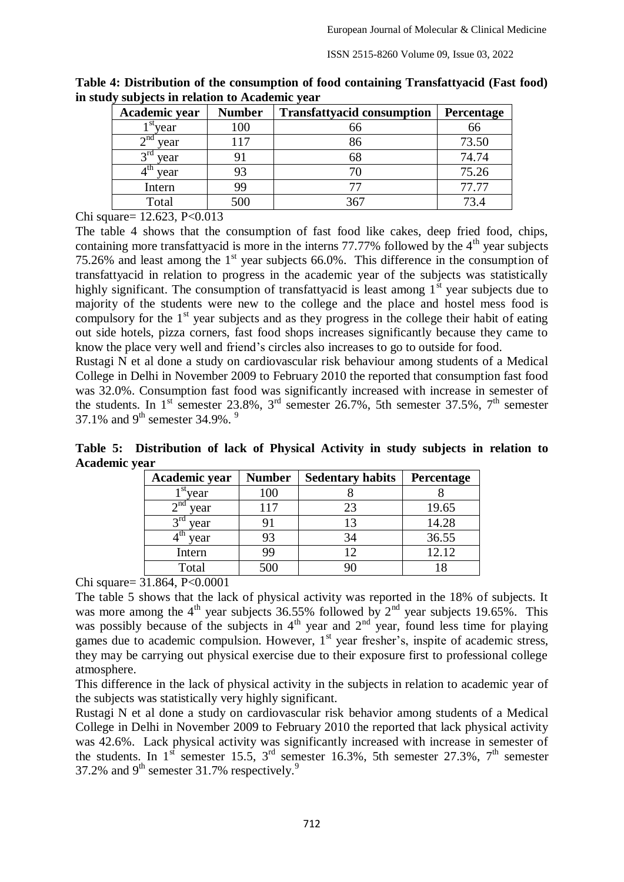| Academic year           | <b>Number</b> | <b>Transfattyacid consumption</b> | Percentage |
|-------------------------|---------------|-----------------------------------|------------|
| $l^{st}$ year           | 100           | 66                                | 66         |
| $2^{\text{nd}}$ year    | 117           | 86                                | 73.50      |
| $2^{\text{rd}}$<br>year | 91            | 68                                | 74.74      |
| year                    | 93            |                                   | 75.26      |
| Intern                  | 99            |                                   | 77.77      |
| Total                   | 500           | 367                               |            |

**Table 4: Distribution of the consumption of food containing Transfattyacid (Fast food) in study subjects in relation to Academic year**

Chi square= 12.623, P<0.013

The table 4 shows that the consumption of fast food like cakes, deep fried food, chips, containing more transfattyacid is more in the interns  $77.77\%$  followed by the  $4<sup>th</sup>$  year subjects 75.26% and least among the  $1<sup>st</sup>$  year subjects 66.0%. This difference in the consumption of transfattyacid in relation to progress in the academic year of the subjects was statistically highly significant. The consumption of transfattyacid is least among  $1<sup>st</sup>$  year subjects due to majority of the students were new to the college and the place and hostel mess food is compulsory for the  $1<sup>st</sup>$  year subjects and as they progress in the college their habit of eating out side hotels, pizza corners, fast food shops increases significantly because they came to know the place very well and friend's circles also increases to go to outside for food.

Rustagi N et al done a study on cardiovascular risk behaviour among students of a Medical College in Delhi in November 2009 to February 2010 the reported that consumption fast food was 32.0%. Consumption fast food was significantly increased with increase in semester of the students. In 1<sup>st</sup> semester 23.8%, 3<sup>rd</sup> semester 26.7%, 5th semester 37.5%, 7<sup>th</sup> semester 37.1% and 9<sup>th</sup> semester 34.9%. <sup>9</sup>

**Table 5: Distribution of lack of Physical Activity in study subjects in relation to Academic year**

| Academic year           | <b>Number</b> | <b>Sedentary habits</b> | Percentage |
|-------------------------|---------------|-------------------------|------------|
| vear                    | 100           |                         |            |
| 2 <sup>nd</sup><br>year | 117           | 23                      | 19.65      |
| year                    |               | 13                      | 14.28      |
| year                    | 93            | 34                      | 36.55      |
| Intern                  | 99            | 12                      | 12.12      |
| Total                   | 500           |                         |            |

Chi square= 31.864, P<0.0001

The table 5 shows that the lack of physical activity was reported in the 18% of subjects. It was more among the  $4<sup>th</sup>$  year subjects 36.55% followed by  $2<sup>nd</sup>$  year subjects 19.65%. This was possibly because of the subjects in  $4<sup>th</sup>$  year and  $2<sup>nd</sup>$  year, found less time for playing games due to academic compulsion. However, 1<sup>st</sup> year fresher's, inspite of academic stress, they may be carrying out physical exercise due to their exposure first to professional college atmosphere.

This difference in the lack of physical activity in the subjects in relation to academic year of the subjects was statistically very highly significant.

Rustagi N et al done a study on cardiovascular risk behavior among students of a Medical College in Delhi in November 2009 to February 2010 the reported that lack physical activity was 42.6%. Lack physical activity was significantly increased with increase in semester of the students. In 1<sup>st</sup> semester 15.5, 3<sup>rd</sup> semester 16.3%, 5th semester 27.3%, 7<sup>th</sup> semester 37.2% and  $9<sup>th</sup>$  semester 31.7% respectively.<sup>9</sup>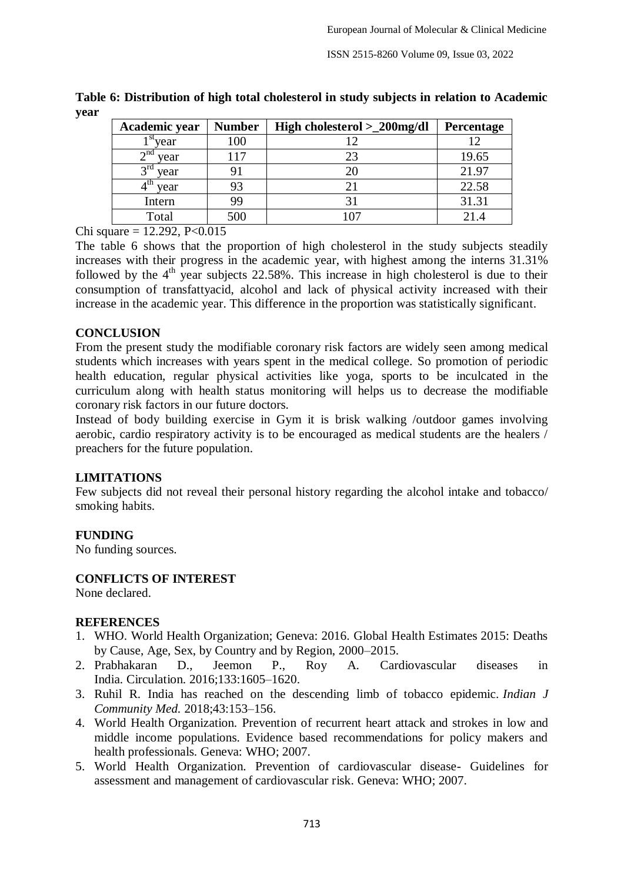| Academic year        | <b>Number</b> | High cholesterol > 200mg/dl | Percentage |
|----------------------|---------------|-----------------------------|------------|
| $1st$ vear           | 100           |                             |            |
| $\lambda$ nd<br>year | 117           |                             | 19.65      |
| $3^{r0}$<br>year     |               |                             | 21.97      |
| year                 | 93            |                             | 22.58      |
| Intern               | 99            |                             | 31.31      |
| Total                | 500           |                             |            |

**Table 6: Distribution of high total cholesterol in study subjects in relation to Academic year**

Chi square =  $12.292$ , P<0.015

The table 6 shows that the proportion of high cholesterol in the study subjects steadily increases with their progress in the academic year, with highest among the interns 31.31% followed by the  $4<sup>th</sup>$  year subjects 22.58%. This increase in high cholesterol is due to their consumption of transfattyacid, alcohol and lack of physical activity increased with their increase in the academic year. This difference in the proportion was statistically significant.

#### **CONCLUSION**

From the present study the modifiable coronary risk factors are widely seen among medical students which increases with years spent in the medical college. So promotion of periodic health education, regular physical activities like yoga, sports to be inculcated in the curriculum along with health status monitoring will helps us to decrease the modifiable coronary risk factors in our future doctors.

Instead of body building exercise in Gym it is brisk walking /outdoor games involving aerobic, cardio respiratory activity is to be encouraged as medical students are the healers / preachers for the future population.

## **LIMITATIONS**

Few subjects did not reveal their personal history regarding the alcohol intake and tobacco/ smoking habits.

## **FUNDING**

No funding sources.

**CONFLICTS OF INTEREST**

None declared.

## **REFERENCES**

- 1. WHO. World Health Organization; Geneva: 2016. Global Health Estimates 2015: Deaths by Cause, Age, Sex, by Country and by Region, 2000–2015.
- 2. Prabhakaran D., Jeemon P., Roy A. Cardiovascular diseases in India. Circulation. 2016;133:1605–1620.
- 3. Ruhil R. India has reached on the descending limb of tobacco epidemic. *Indian J Community Med.* 2018;43:153–156.
- 4. World Health Organization. Prevention of recurrent heart attack and strokes in low and middle income populations. Evidence based recommendations for policy makers and health professionals. Geneva: WHO; 2007.
- 5. World Health Organization. Prevention of cardiovascular disease- Guidelines for assessment and management of cardiovascular risk. Geneva: WHO; 2007.